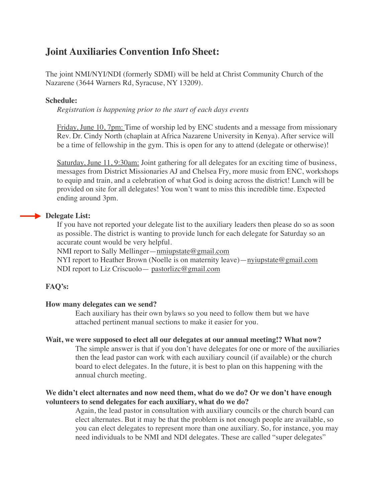## **Joint Auxiliaries Convention Info Sheet:**

The joint NMI/NYI/NDI (formerly SDMI) will be held at Christ Community Church of the Nazarene (3644 Warners Rd, Syracuse, NY 13209).

### **Schedule:**

*Registration is happening prior to the start of each days events* 

Friday, June 10, 7pm: Time of worship led by ENC students and a message from missionary Rev. Dr. Cindy North (chaplain at Africa Nazarene University in Kenya). After service will be a time of fellowship in the gym. This is open for any to attend (delegate or otherwise)!

Saturday, June 11, 9:30am: Joint gathering for all delegates for an exciting time of business, messages from District Missionaries AJ and Chelsea Fry, more music from ENC, workshops to equip and train, and a celebration of what God is doing across the district! Lunch will be provided on site for all delegates! You won't want to miss this incredible time. Expected ending around 3pm.

### **Delegate List:**

If you have not reported your delegate list to the auxiliary leaders then please do so as soon as possible. The district is wanting to provide lunch for each delegate for Saturday so an accurate count would be very helpful.

NMI report to Sally Mellinger[—nmiupstate@gmail.com](mailto:nmiupstate@gmail.com)

NYI report to Heather Brown (Noelle is on maternity leave)[—nyiupstate@gmail.com](mailto:nyiupstate@gmail.com) NDI report to Liz Criscuolo— [pastorlizc@gmail.com](mailto:pastorlizc@gmail.com)

### **FAQ's:**

### **How many delegates can we send?**

Each auxiliary has their own bylaws so you need to follow them but we have attached pertinent manual sections to make it easier for you.

### **Wait, we were supposed to elect all our delegates at our annual meeting!? What now?**

The simple answer is that if you don't have delegates for one or more of the auxiliaries then the lead pastor can work with each auxiliary council (if available) or the church board to elect delegates. In the future, it is best to plan on this happening with the annual church meeting.

### **We didn't elect alternates and now need them, what do we do? Or we don't have enough volunteers to send delegates for each auxiliary, what do we do?**

Again, the lead pastor in consultation with auxiliary councils or the church board can elect alternates. But it may be that the problem is not enough people are available, so you can elect delegates to represent more than one auxiliary. So, for instance, you may need individuals to be NMI and NDI delegates. These are called "super delegates"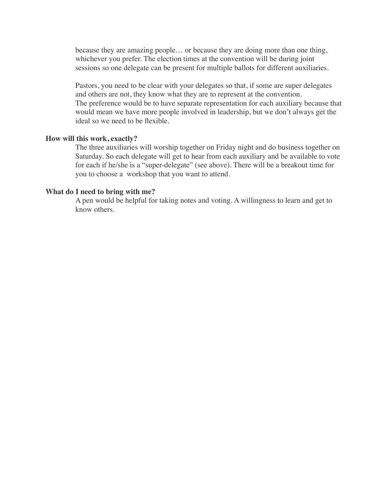because they are amazing people… or because they are doing more than one thing, whichever you prefer. The election times at the convention will be during joint sessions so one delegate can be present for multiple ballots for different auxiliaries.

Pastors, you need to be clear with your delegates so that, if some are super delegates and others are not, they know what they are to represent at the convention. The preference would be to have separate representation for each auxiliary because that would mean we have more people involved in leadership, but we don't always get the ideal so we need to be flexible.

#### **How will this work, exactly?**

The three auxiliaries will worship together on Friday night and do business together on Saturday. So each delegate will get to hear from each auxiliary and be available to vote for each if he/she is a "super-delegate" (see above). There will be a breakout time for you to choose a workshop that you want to attend.

#### **What do I need to bring with me?**

A pen would be helpful for taking notes and voting. A willingness to learn and get to know others.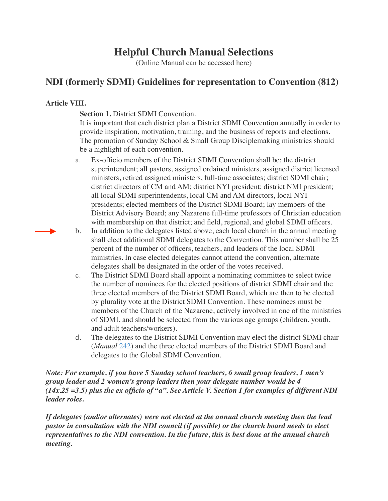# **Helpful Church Manual Selections**

(Online Manual can be accessed [here](https://2017.manual.nazarene.org/))

## **NDI (formerly SDMI) Guidelines for representation to Convention (812)**

### **Article VIII.**

**Section 1. District SDMI Convention.** 

It is important that each district plan a District SDMI Convention annually in order to provide inspiration, motivation, training, and the business of reports and elections. The promotion of Sunday School & Small Group Disciplemaking ministries should be a highlight of each convention.

- a. Ex-officio members of the District SDMI Convention shall be: the district superintendent; all pastors, assigned ordained ministers, assigned district licensed ministers, retired assigned ministers, full-time associates; district SDMI chair; district directors of CM and AM; district NYI president; district NMI president; all local SDMI superintendents, local CM and AM directors, local NYI presidents; elected members of the District SDMI Board; lay members of the District Advisory Board; any Nazarene full-time professors of Christian education with membership on that district; and field, regional, and global SDMI officers.
- b. In addition to the delegates listed above, each local church in the annual meeting shall elect additional SDMI delegates to the Convention. This number shall be 25 percent of the number of officers, teachers, and leaders of the local SDMI ministries. In case elected delegates cannot attend the convention, alternate delegates shall be designated in the order of the votes received.
- c. The District SDMI Board shall appoint a nominating committee to select twice the number of nominees for the elected positions of district SDMI chair and the three elected members of the District SDMI Board, which are then to be elected by plurality vote at the District SDMI Convention. These nominees must be members of the Church of the Nazarene, actively involved in one of the ministries of SDMI, and should be selected from the various age groups (children, youth, and adult teachers/workers).
- d. The delegates to the District SDMI Convention may elect the district SDMI chair (*Manual* [242](http://2017.manual.nazarene.org/paragraph/p242/)) and the three elected members of the District SDMI Board and delegates to the Global SDMI Convention.

*Note: For example, if you have 5 Sunday school teachers, 6 small group leaders, 1 men's group leader and 2 women's group leaders then your delegate number would be 4 (14x.25 =3.5) plus the ex officio of "a". See Article V. Section 1 for examples of different NDI leader roles.*

*If delegates (and/or alternates) were not elected at the annual church meeting then the lead pastor in consultation with the NDI council (if possible) or the church board needs to elect representatives to the NDI convention. In the future, this is best done at the annual church meeting.*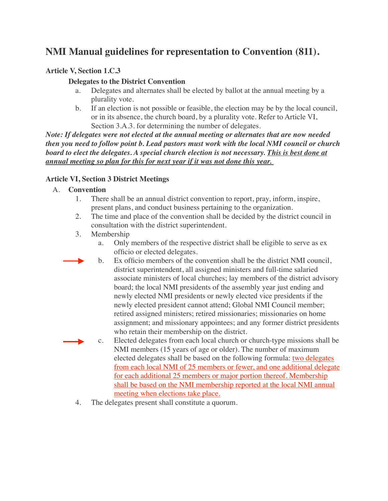# **NMI Manual guidelines for representation to Convention (811).**

### **Article V, Section 1.C.3**

### **Delegates to the District Convention**

- a. Delegates and alternates shall be elected by ballot at the annual meeting by a plurality vote.
- b. If an election is not possible or feasible, the election may be by the local council, or in its absence, the church board, by a plurality vote. Refer to Article VI, Section 3.A.3. for determining the number of delegates.

*Note: If delegates were not elected at the annual meeting or alternates that are now needed then you need to follow point b. Lead pastors must work with the local NMI council or church board to elect the delegates. A special church election is not necessary. This is best done at annual meeting so plan for this for next year if it was not done this year.* 

### **Article VI, Section 3 District Meetings**

### A. **Convention**

- 1. There shall be an annual district convention to report, pray, inform, inspire, present plans, and conduct business pertaining to the organization.
- 2. The time and place of the convention shall be decided by the district council in consultation with the district superintendent.
- 3. Membership
	- a. Only members of the respective district shall be eligible to serve as ex officio or elected delegates.
	- b. Ex officio members of the convention shall be the district NMI council, district superintendent, all assigned ministers and full-time salaried associate ministers of local churches; lay members of the district advisory board; the local NMI presidents of the assembly year just ending and newly elected NMI presidents or newly elected vice presidents if the newly elected president cannot attend; Global NMI Council member; retired assigned ministers; retired missionaries; missionaries on home assignment; and missionary appointees; and any former district presidents who retain their membership on the district.
	- c. Elected delegates from each local church or church-type missions shall be NMI members (15 years of age or older). The number of maximum elected delegates shall be based on the following formula: two delegates from each local NMI of 25 members or fewer, and one additional delegate for each additional 25 members or major portion thereof. Membership shall be based on the NMI membership reported at the local NMI annual meeting when elections take place.
- 4. The delegates present shall constitute a quorum.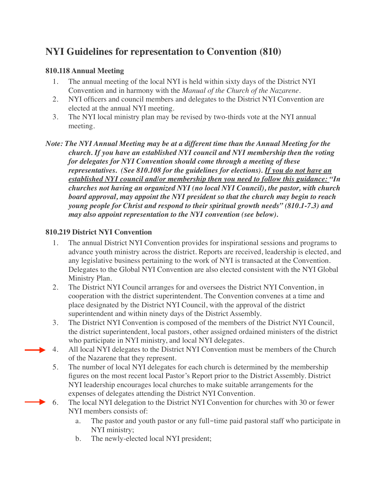# **NYI Guidelines for representation to Convention (810)**

### **810.118 Annual Meeting**

- 1. The annual meeting of the local NYI is held within sixty days of the District NYI Convention and in harmony with the *Manual of the Church of the Nazarene*.
- 2. NYI officers and council members and delegates to the District NYI Convention are elected at the annual NYI meeting.
- 3. The NYI local ministry plan may be revised by two-thirds vote at the NYI annual meeting.
- *Note: The NYI Annual Meeting may be at a different time than the Annual Meeting for the church. If you have an established NYI council and NYI membership then the voting for delegates for NYI Convention should come through a meeting of these representatives. (See 810.108 for the guidelines for elections). If you do not have an established NYI council and/or membership then you need to follow this guidance: "In churches not having an organized NYI (no local NYI Council), the pastor, with church board approval, may appoint the NYI president so that the church may begin to reach young people for Christ and respond to their spiritual growth needs" (810.1-7.3) and may also appoint representation to the NYI convention (see below).*

### **810.219 District NYI Convention**

- 1. The annual District NYI Convention provides for inspirational sessions and programs to advance youth ministry across the district. Reports are received, leadership is elected, and any legislative business pertaining to the work of NYI is transacted at the Convention. Delegates to the Global NYI Convention are also elected consistent with the NYI Global Ministry Plan.
- 2. The District NYI Council arranges for and oversees the District NYI Convention, in cooperation with the district superintendent. The Convention convenes at a time and place designated by the District NYI Council, with the approval of the district superintendent and within ninety days of the District Assembly.
- 3. The District NYI Convention is composed of the members of the District NYI Council, the district superintendent, local pastors, other assigned ordained ministers of the district who participate in NYI ministry, and local NYI delegates.
- 4. All local NYI delegates to the District NYI Convention must be members of the Church of the Nazarene that they represent.
- 5. The number of local NYI delegates for each church is determined by the membership figures on the most recent local Pastor's Report prior to the District Assembly. District NYI leadership encourages local churches to make suitable arrangements for the expenses of delegates attending the District NYI Convention.
- 6. The local NYI delegation to the District NYI Convention for churches with 30 or fewer NYI members consists of:
	- a. The pastor and youth pastor or any full-time paid pastoral staff who participate in NYI ministry;
	- b. The newly-elected local NYI president;